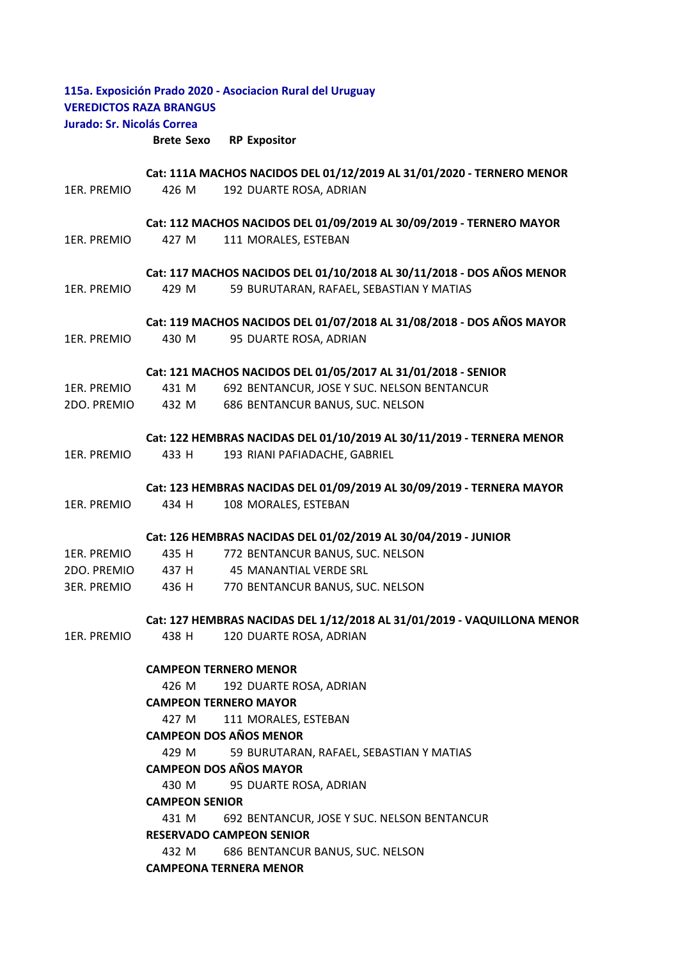| 115a. Exposición Prado 2020 - Asociacion Rural del Uruguay<br><b>VEREDICTOS RAZA BRANGUS</b> |                                                                                         |                                                                       |  |
|----------------------------------------------------------------------------------------------|-----------------------------------------------------------------------------------------|-----------------------------------------------------------------------|--|
| Jurado: Sr. Nicolás Correa                                                                   |                                                                                         |                                                                       |  |
|                                                                                              | <b>Brete Sexo</b>                                                                       | <b>RP Expositor</b>                                                   |  |
|                                                                                              |                                                                                         | Cat: 111A MACHOS NACIDOS DEL 01/12/2019 AL 31/01/2020 - TERNERO MENOR |  |
| 1ER. PREMIO                                                                                  | 426 M                                                                                   | 192 DUARTE ROSA, ADRIAN                                               |  |
|                                                                                              |                                                                                         | Cat: 112 MACHOS NACIDOS DEL 01/09/2019 AL 30/09/2019 - TERNERO MAYOR  |  |
| 1ER. PREMIO                                                                                  | 427 M                                                                                   | 111 MORALES, ESTEBAN                                                  |  |
|                                                                                              |                                                                                         | Cat: 117 MACHOS NACIDOS DEL 01/10/2018 AL 30/11/2018 - DOS AÑOS MENOR |  |
| 1ER. PREMIO                                                                                  | 429 M                                                                                   | 59 BURUTARAN, RAFAEL, SEBASTIAN Y MATIAS                              |  |
|                                                                                              | Cat: 119 MACHOS NACIDOS DEL 01/07/2018 AL 31/08/2018 - DOS AÑOS MAYOR                   |                                                                       |  |
| 1ER. PREMIO                                                                                  | 430 M                                                                                   | 95 DUARTE ROSA, ADRIAN                                                |  |
|                                                                                              |                                                                                         | Cat: 121 MACHOS NACIDOS DEL 01/05/2017 AL 31/01/2018 - SENIOR         |  |
| 1ER. PREMIO                                                                                  | 431 M                                                                                   | 692 BENTANCUR, JOSE Y SUC. NELSON BENTANCUR                           |  |
| 2DO. PREMIO                                                                                  | 432 M                                                                                   | 686 BENTANCUR BANUS, SUC. NELSON                                      |  |
|                                                                                              |                                                                                         | Cat: 122 HEMBRAS NACIDAS DEL 01/10/2019 AL 30/11/2019 - TERNERA MENOR |  |
| 1ER. PREMIO                                                                                  | 433 H                                                                                   | 193 RIANI PAFIADACHE, GABRIEL                                         |  |
|                                                                                              |                                                                                         | Cat: 123 HEMBRAS NACIDAS DEL 01/09/2019 AL 30/09/2019 - TERNERA MAYOR |  |
| 1ER. PREMIO                                                                                  | 434 H                                                                                   | 108 MORALES, ESTEBAN                                                  |  |
|                                                                                              |                                                                                         | Cat: 126 HEMBRAS NACIDAS DEL 01/02/2019 AL 30/04/2019 - JUNIOR        |  |
| 1ER. PREMIO                                                                                  | 435 H                                                                                   | 772 BENTANCUR BANUS, SUC. NELSON                                      |  |
| 2DO. PREMIO                                                                                  | 437 H                                                                                   | <b>45 MANANTIAL VERDE SRL</b>                                         |  |
| 3ER. PREMIO                                                                                  | 436 H                                                                                   | 770 BENTANCUR BANUS, SUC. NELSON                                      |  |
|                                                                                              | Cat: 127 HEMBRAS NACIDAS DEL 1/12/2018 AL 31/01/2019 - VAQUILLONA MENOR                 |                                                                       |  |
| 1ER. PREMIO                                                                                  | 438 H                                                                                   | 120 DUARTE ROSA, ADRIAN                                               |  |
|                                                                                              | <b>CAMPEON TERNERO MENOR</b>                                                            |                                                                       |  |
|                                                                                              | 426 M                                                                                   | 192 DUARTE ROSA, ADRIAN                                               |  |
|                                                                                              |                                                                                         | <b>CAMPEON TERNERO MAYOR</b>                                          |  |
|                                                                                              | 427 M                                                                                   | 111 MORALES, ESTEBAN                                                  |  |
|                                                                                              |                                                                                         | <b>CAMPEON DOS AÑOS MENOR</b>                                         |  |
|                                                                                              | 429 M<br>59 BURUTARAN, RAFAEL, SEBASTIAN Y MATIAS                                       |                                                                       |  |
|                                                                                              | <b>CAMPEON DOS AÑOS MAYOR</b>                                                           |                                                                       |  |
|                                                                                              | 430 M<br>95 DUARTE ROSA, ADRIAN                                                         |                                                                       |  |
| <b>CAMPEON SENIOR</b>                                                                        |                                                                                         |                                                                       |  |
|                                                                                              | 431 M<br>692 BENTANCUR, JOSE Y SUC. NELSON BENTANCUR<br><b>RESERVADO CAMPEON SENIOR</b> |                                                                       |  |
|                                                                                              |                                                                                         |                                                                       |  |
|                                                                                              | 432 M                                                                                   | 686 BENTANCUR BANUS, SUC. NELSON                                      |  |
| <b>CAMPEONA TERNERA MENOR</b>                                                                |                                                                                         |                                                                       |  |